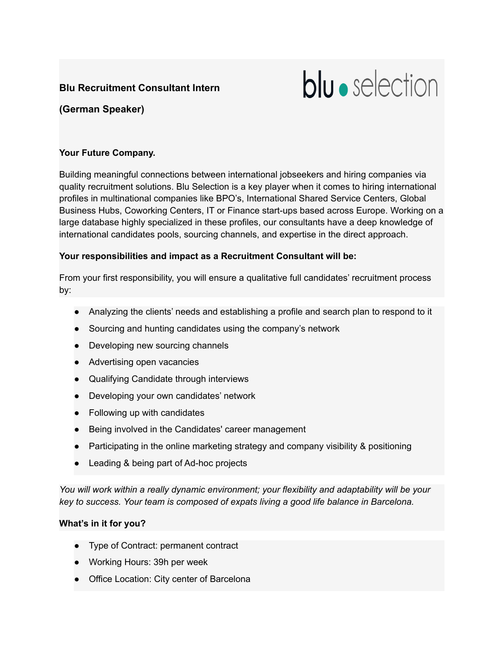# **Blu Recruitment Consultant Intern**

# blu · selection

# **(German Speaker)**

#### **Your Future Company.**

Building meaningful connections between international jobseekers and hiring companies via quality recruitment solutions. Blu Selection is a key player when it comes to hiring international profiles in multinational companies like BPO's, International Shared Service Centers, Global Business Hubs, Coworking Centers, IT or Finance start-ups based across Europe. Working on a large database highly specialized in these profiles, our consultants have a deep knowledge of international candidates pools, sourcing channels, and expertise in the direct approach.

## **Your responsibilities and impact as a Recruitment Consultant will be:**

From your first responsibility, you will ensure a qualitative full candidates' recruitment process by:

- Analyzing the clients' needs and establishing a profile and search plan to respond to it
- Sourcing and hunting candidates using the company's network
- Developing new sourcing channels
- Advertising open vacancies
- Qualifying Candidate through interviews
- Developing your own candidates' network
- Following up with candidates
- Being involved in the Candidates' career management
- Participating in the online marketing strategy and company visibility & positioning
- Leading & being part of Ad-hoc projects

*You will work within a really dynamic environment; your flexibility and adaptability will be your key to success. Your team is composed of expats living a good life balance in Barcelona.*

## **What's in it for you?**

- Type of Contract: permanent contract
- Working Hours: 39h per week
- Office Location: City center of Barcelona